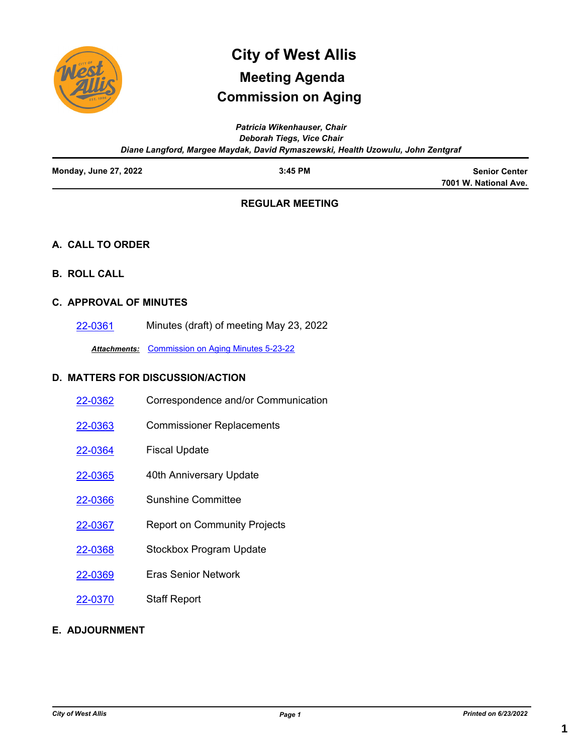

# **Commission on Aging City of West Allis Meeting Agenda**

*Patricia Wikenhauser, Chair Deborah Tiegs, Vice Chair Diane Langford, Margee Maydak, David Rymaszewski, Health Uzowulu, John Zentgraf*

| <b>Monday, June 27, 2022</b> | $3:45$ PM | <b>Senior Center</b>  |
|------------------------------|-----------|-----------------------|
|                              |           | 7001 W. National Ave. |

## **REGULAR MEETING**

### **A. CALL TO ORDER**

**B. ROLL CALL**

### **C. APPROVAL OF MINUTES**

[22-0361](http://westalliswi.legistar.com/gateway.aspx?m=l&id=/matter.aspx?key=29025) Minutes (draft) of meeting May 23, 2022

*Attachments:* [Commission on Aging Minutes 5-23-22](http://westalliswi.legistar.com/gateway.aspx?M=F&ID=2421a2ce-ce3f-40c4-a893-1b2aca87542f.pdf)

## **D. MATTERS FOR DISCUSSION/ACTION**

| 22-0362 | Correspondence and/or Communication |
|---------|-------------------------------------|
| 22-0363 | <b>Commissioner Replacements</b>    |
| 22-0364 | <b>Fiscal Update</b>                |
| 22-0365 | 40th Anniversary Update             |
| 22-0366 | Sunshine Committee                  |
| 22-0367 | <b>Report on Community Projects</b> |
| 22-0368 | <b>Stockbox Program Update</b>      |
| 22-0369 | <b>Fras Senior Network</b>          |
| 22-0370 | <b>Staff Report</b>                 |

### **E. ADJOURNMENT**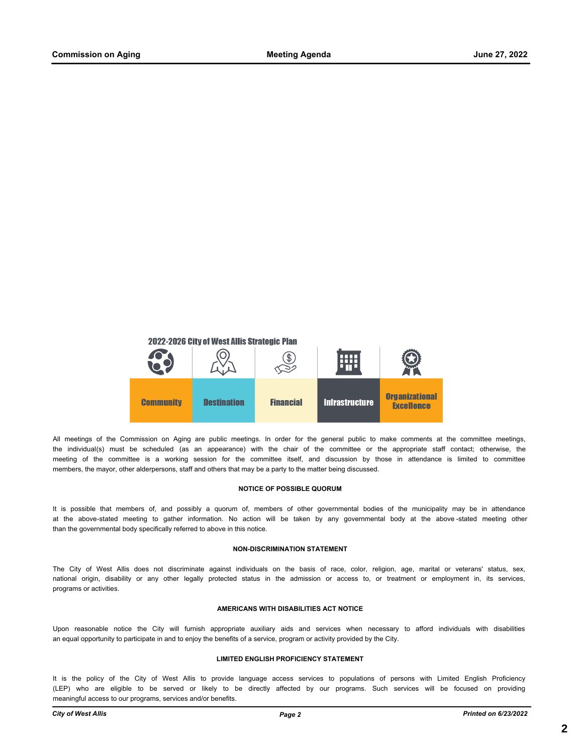

All meetings of the Commission on Aging are public meetings. In order for the general public to make comments at the committee meetings, the individual(s) must be scheduled (as an appearance) with the chair of the committee or the appropriate staff contact; otherwise, the meeting of the committee is a working session for the committee itself, and discussion by those in attendance is limited to committee members, the mayor, other alderpersons, staff and others that may be a party to the matter being discussed.

#### **NOTICE OF POSSIBLE QUORUM**

It is possible that members of, and possibly a quorum of, members of other governmental bodies of the municipality may be in attendance at the above-stated meeting to gather information. No action will be taken by any governmental body at the above -stated meeting other than the governmental body specifically referred to above in this notice.

#### **NON-DISCRIMINATION STATEMENT**

The City of West Allis does not discriminate against individuals on the basis of race, color, religion, age, marital or veterans' status, sex, national origin, disability or any other legally protected status in the admission or access to, or treatment or employment in, its services, programs or activities.

#### **AMERICANS WITH DISABILITIES ACT NOTICE**

Upon reasonable notice the City will furnish appropriate auxiliary aids and services when necessary to afford individuals with disabilities an equal opportunity to participate in and to enjoy the benefits of a service, program or activity provided by the City.

#### **LIMITED ENGLISH PROFICIENCY STATEMENT**

It is the policy of the City of West Allis to provide language access services to populations of persons with Limited English Proficiency (LEP) who are eligible to be served or likely to be directly affected by our programs. Such services will be focused on providing meaningful access to our programs, services and/or benefits.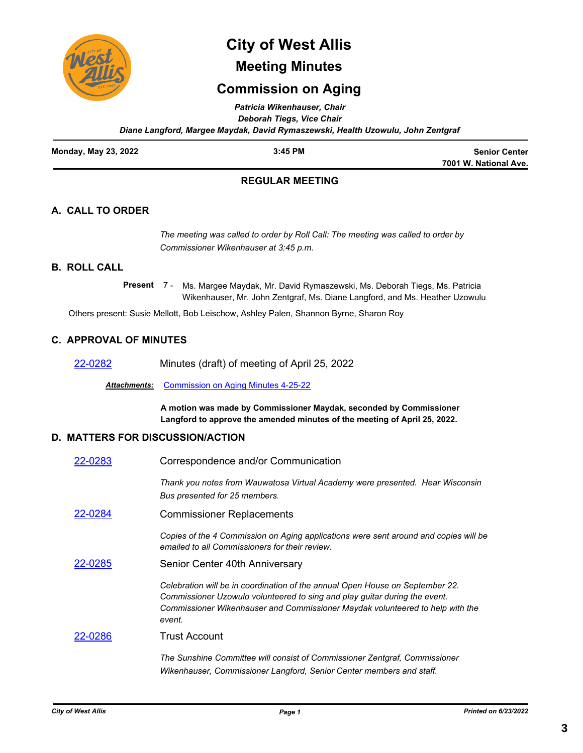

# **City of West Allis**

## **Meeting Minutes**

## **Commission on Aging**

*Patricia Wikenhauser, Chair*

*Deborah Tiegs, Vice Chair Diane Langford, Margee Maydak, David Rymaszewski, Health Uzowulu, John Zentgraf*

| Monday, May 23, 2022 | 3:45 PM | <b>Senior Center</b>  |
|----------------------|---------|-----------------------|
|                      |         | 7001 W. National Ave. |

## **REGULAR MEETING**

## **A. CALL TO ORDER**

*The meeting was called to order by Roll Call: The meeting was called to order by Commissioner Wikenhauser at 3:45 p.m.*

## **B. ROLL CALL**

Present 7 - Ms. Margee Maydak, Mr. David Rymaszewski, Ms. Deborah Tiegs, Ms. Patricia Wikenhauser, Mr. John Zentgraf, Ms. Diane Langford, and Ms. Heather Uzowulu

Others present: Susie Mellott, Bob Leischow, Ashley Palen, Shannon Byrne, Sharon Roy

### **C. APPROVAL OF MINUTES**

[22-0282](http://westalliswi.legistar.com/gateway.aspx?m=l&id=/matter.aspx?key=28856) Minutes (draft) of meeting of April 25, 2022

*Attachments:* [Commission on Aging Minutes 4-25-22](http://westalliswi.legistar.com/gateway.aspx?M=F&ID=b9c669a2-2534-4b09-ba67-7fa021b5e3ed.pdf)

**A motion was made by Commissioner Maydak, seconded by Commissioner Langford to approve the amended minutes of the meeting of April 25, 2022.**

### **D. MATTERS FOR DISCUSSION/ACTION**

| 22-0283 | Correspondence and/or Communication                                                                                                                                                                                                                    |  |  |
|---------|--------------------------------------------------------------------------------------------------------------------------------------------------------------------------------------------------------------------------------------------------------|--|--|
|         | Thank you notes from Wauwatosa Virtual Academy were presented. Hear Wisconsin<br>Bus presented for 25 members.                                                                                                                                         |  |  |
| 22-0284 | <b>Commissioner Replacements</b>                                                                                                                                                                                                                       |  |  |
|         | Copies of the 4 Commission on Aging applications were sent around and copies will be<br>emailed to all Commissioners for their review.                                                                                                                 |  |  |
| 22-0285 | Senior Center 40th Anniversary                                                                                                                                                                                                                         |  |  |
|         | Celebration will be in coordination of the annual Open House on September 22.<br>Commissioner Uzowulo volunteered to sing and play guitar during the event.<br>Commissioner Wikenhauser and Commissioner Maydak volunteered to help with the<br>event. |  |  |
| 22-0286 | Trust Account                                                                                                                                                                                                                                          |  |  |
|         | The Sunshine Committee will consist of Commissioner Zentgraf, Commissioner<br>Wikenhauser, Commissioner Langford, Senior Center members and staff.                                                                                                     |  |  |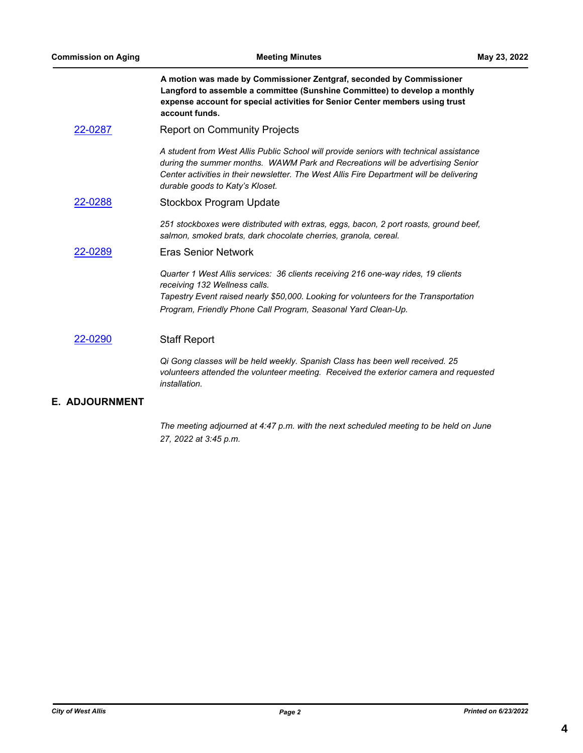**A motion was made by Commissioner Zentgraf, seconded by Commissioner Langford to assemble a committee (Sunshine Committee) to develop a monthly expense account for special activities for Senior Center members using trust account funds.**

[22-0287](http://westalliswi.legistar.com/gateway.aspx?m=l&id=/matter.aspx?key=28861) Report on Community Projects

*A student from West Allis Public School will provide seniors with technical assistance during the summer months. WAWM Park and Recreations will be advertising Senior Center activities in their newsletter. The West Allis Fire Department will be delivering durable goods to Katy's Kloset.*

[22-0288](http://westalliswi.legistar.com/gateway.aspx?m=l&id=/matter.aspx?key=28862) Stockbox Program Update

*251 stockboxes were distributed with extras, eggs, bacon, 2 port roasts, ground beef, salmon, smoked brats, dark chocolate cherries, granola, cereal.* 

#### [22-0289](http://westalliswi.legistar.com/gateway.aspx?m=l&id=/matter.aspx?key=28863) Eras Senior Network

*Quarter 1 West Allis services: 36 clients receiving 216 one-way rides, 19 clients receiving 132 Wellness calls. Tapestry Event raised nearly \$50,000. Looking for volunteers for the Transportation Program, Friendly Phone Call Program, Seasonal Yard Clean-Up.* 

#### [22-0290](http://westalliswi.legistar.com/gateway.aspx?m=l&id=/matter.aspx?key=28864) Staff Report

*Qi Gong classes will be held weekly. Spanish Class has been well received. 25 volunteers attended the volunteer meeting. Received the exterior camera and requested installation.*

#### **E. ADJOURNMENT**

*The meeting adjourned at 4:47 p.m. with the next scheduled meeting to be held on June 27, 2022 at 3:45 p.m.*